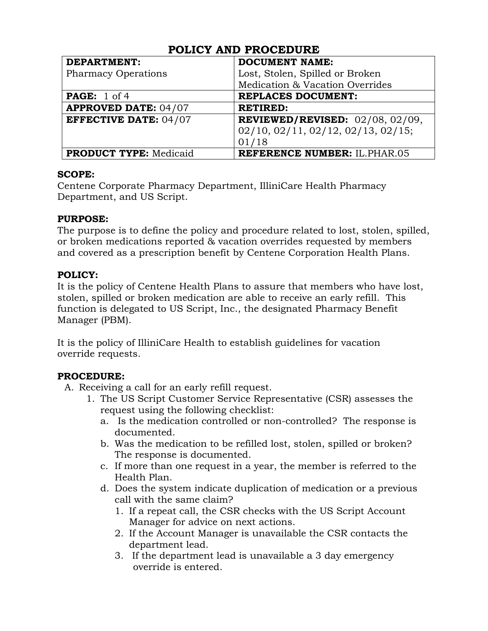| <b>DEPARTMENT:</b>            | <b>DOCUMENT NAME:</b>                 |
|-------------------------------|---------------------------------------|
| <b>Pharmacy Operations</b>    | Lost, Stolen, Spilled or Broken       |
|                               | Medication & Vacation Overrides       |
| <b>PAGE:</b> $1$ of 4         | <b>REPLACES DOCUMENT:</b>             |
| <b>APPROVED DATE: 04/07</b>   | <b>RETIRED:</b>                       |
| <b>EFFECTIVE DATE: 04/07</b>  | REVIEWED/REVISED: $02/08$ , $02/09$ , |
|                               | 02/10, 02/11, 02/12, 02/13, 02/15;    |
|                               | 01/18                                 |
| <b>PRODUCT TYPE: Medicaid</b> | <b>REFERENCE NUMBER: IL.PHAR.05</b>   |

#### **SCOPE:**

Centene Corporate Pharmacy Department, IlliniCare Health Pharmacy Department, and US Script.

#### **PURPOSE:**

The purpose is to define the policy and procedure related to lost, stolen, spilled, or broken medications reported & vacation overrides requested by members and covered as a prescription benefit by Centene Corporation Health Plans.

### **POLICY:**

It is the policy of Centene Health Plans to assure that members who have lost, stolen, spilled or broken medication are able to receive an early refill. This function is delegated to US Script, Inc., the designated Pharmacy Benefit Manager (PBM).

It is the policy of IlliniCare Health to establish guidelines for vacation override requests.

### **PROCEDURE:**

- A. Receiving a call for an early refill request.
	- 1. The US Script Customer Service Representative (CSR) assesses the request using the following checklist:
		- a. Is the medication controlled or non-controlled? The response is documented.
		- b. Was the medication to be refilled lost, stolen, spilled or broken? The response is documented.
		- c. If more than one request in a year, the member is referred to the Health Plan.
		- d. Does the system indicate duplication of medication or a previous call with the same claim?
			- 1. If a repeat call, the CSR checks with the US Script Account Manager for advice on next actions.
			- 2. If the Account Manager is unavailable the CSR contacts the department lead.
			- 3. If the department lead is unavailable a 3 day emergency override is entered.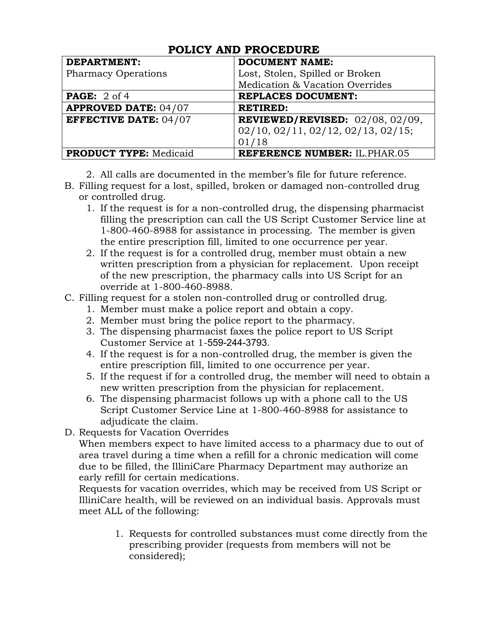| <b>DEPARTMENT:</b>            | <b>DOCUMENT NAME:</b>               |
|-------------------------------|-------------------------------------|
| <b>Pharmacy Operations</b>    | Lost, Stolen, Spilled or Broken     |
|                               | Medication & Vacation Overrides     |
| <b>PAGE:</b> 2 of 4           | <b>REPLACES DOCUMENT:</b>           |
| <b>APPROVED DATE: 04/07</b>   | <b>RETIRED:</b>                     |
| <b>EFFECTIVE DATE: 04/07</b>  | REVIEWED/REVISED: $02/08, 02/09$ ,  |
|                               | 02/10, 02/11, 02/12, 02/13, 02/15;  |
|                               | 01/18                               |
| <b>PRODUCT TYPE: Medicaid</b> | <b>REFERENCE NUMBER: IL.PHAR.05</b> |

- 2. All calls are documented in the member's file for future reference.
- B. Filling request for a lost, spilled, broken or damaged non-controlled drug or controlled drug.
	- 1. If the request is for a non-controlled drug, the dispensing pharmacist filling the prescription can call the US Script Customer Service line at 1-800-460-8988 for assistance in processing. The member is given the entire prescription fill, limited to one occurrence per year.
	- 2. If the request is for a controlled drug, member must obtain a new written prescription from a physician for replacement. Upon receipt of the new prescription, the pharmacy calls into US Script for an override at 1-800-460-8988.

#### C. Filling request for a stolen non-controlled drug or controlled drug.

- 1. Member must make a police report and obtain a copy.
- 2. Member must bring the police report to the pharmacy.
- 3. The dispensing pharmacist faxes the police report to US Script Customer Service at 1-559-244-3793.
- 4. If the request is for a non-controlled drug, the member is given the entire prescription fill, limited to one occurrence per year.
- 5. If the request if for a controlled drug, the member will need to obtain a new written prescription from the physician for replacement.
- 6. The dispensing pharmacist follows up with a phone call to the US Script Customer Service Line at 1-800-460-8988 for assistance to adjudicate the claim.
- D. Requests for Vacation Overrides

When members expect to have limited access to a pharmacy due to out of area travel during a time when a refill for a chronic medication will come due to be filled, the IlliniCare Pharmacy Department may authorize an early refill for certain medications.

Requests for vacation overrides, which may be received from US Script or IlliniCare health, will be reviewed on an individual basis. Approvals must meet ALL of the following:

> 1. Requests for controlled substances must come directly from the prescribing provider (requests from members will not be considered);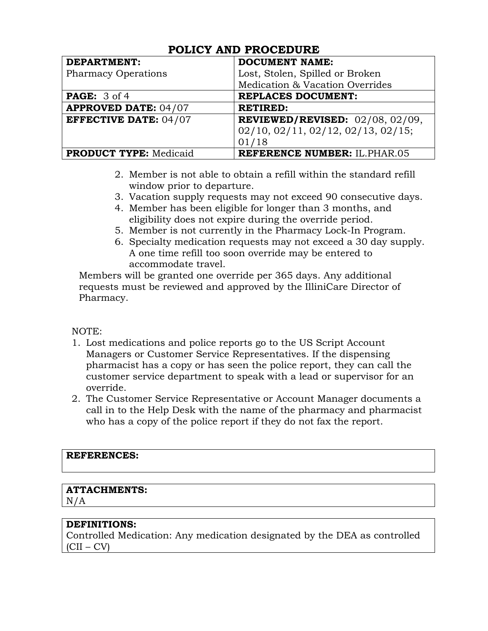| <b>DEPARTMENT:</b>            | <b>DOCUMENT NAME:</b>                     |
|-------------------------------|-------------------------------------------|
| <b>Pharmacy Operations</b>    | Lost, Stolen, Spilled or Broken           |
|                               | Medication & Vacation Overrides           |
| <b>PAGE:</b> 3 of 4           | <b>REPLACES DOCUMENT:</b>                 |
| <b>APPROVED DATE: 04/07</b>   | <b>RETIRED:</b>                           |
| <b>EFFECTIVE DATE: 04/07</b>  | <b>REVIEWED/REVISED:</b> $02/08, 02/09$ , |
|                               | 02/10, 02/11, 02/12, 02/13, 02/15;        |
|                               | 01/18                                     |
| <b>PRODUCT TYPE: Medicaid</b> | <b>REFERENCE NUMBER: IL.PHAR.05</b>       |

- 2. Member is not able to obtain a refill within the standard refill window prior to departure.
- 3. Vacation supply requests may not exceed 90 consecutive days.
- 4. Member has been eligible for longer than 3 months, and eligibility does not expire during the override period.
- 5. Member is not currently in the Pharmacy Lock-In Program.
- 6. Specialty medication requests may not exceed a 30 day supply. A one time refill too soon override may be entered to accommodate travel.

Members will be granted one override per 365 days. Any additional requests must be reviewed and approved by the IlliniCare Director of Pharmacy.

#### NOTE:

- 1. Lost medications and police reports go to the US Script Account Managers or Customer Service Representatives. If the dispensing pharmacist has a copy or has seen the police report, they can call the customer service department to speak with a lead or supervisor for an override.
- 2. The Customer Service Representative or Account Manager documents a call in to the Help Desk with the name of the pharmacy and pharmacist who has a copy of the police report if they do not fax the report.

#### **REFERENCES:**

### **ATTACHMENTS:**

 $N/A$ 

### **DEFINITIONS:**

Controlled Medication: Any medication designated by the DEA as controlled  $(CII - CV)$